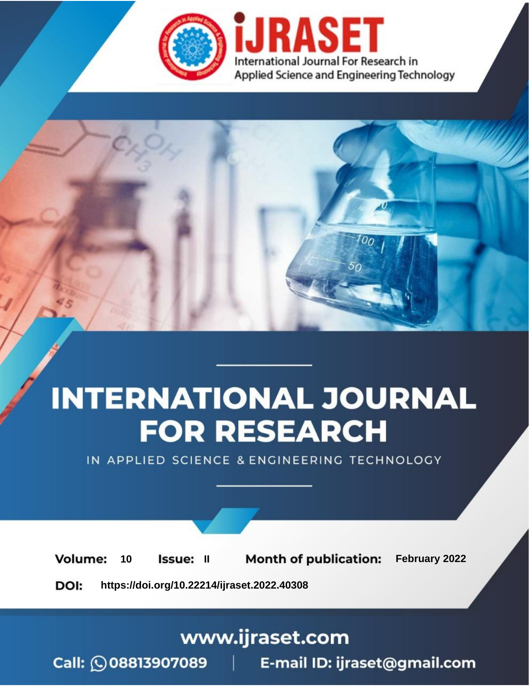

# **INTERNATIONAL JOURNAL FOR RESEARCH**

IN APPLIED SCIENCE & ENGINEERING TECHNOLOGY

**Month of publication:** February 2022 **Volume:** 10 **Issue: II** DOI: https://doi.org/10.22214/ijraset.2022.40308

www.ijraset.com

 $Call: \bigcirc$ 08813907089 E-mail ID: ijraset@gmail.com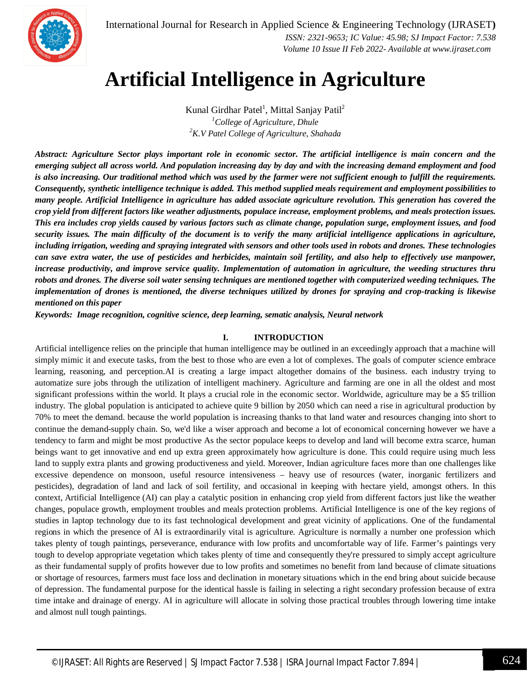

International Journal for Research in Applied Science & Engineering Technology (IJRASET**)**

 *ISSN: 2321-9653; IC Value: 45.98; SJ Impact Factor: 7.538 Volume 10 Issue II Feb 2022- Available at www.ijraset.com*

### **Artificial Intelligence in Agriculture**

Kunal Girdhar Patel<sup>1</sup>, Mittal Sanjay Patil<sup>2</sup> *<sup>1</sup>College of Agriculture, Dhule <sup>2</sup>K.V Patel College of Agriculture, Shahada*

*Abstract: Agriculture Sector plays important role in economic sector. The artificial intelligence is main concern and the emerging subject all across world. And population increasing day by day and with the increasing demand employment and food is also increasing. Our traditional method which was used by the farmer were not sufficient enough to fulfill the requirements. Consequently, synthetic intelligence technique is added. This method supplied meals requirement and employment possibilities to many people. Artificial Intelligence in agriculture has added associate agriculture revolution. This generation has covered the crop yield from different factors like weather adjustments, populace increase, employment problems, and meals protection issues. This era includes crop yields caused by various factors such as climate change, population surge, employment issues, and food security issues. The main difficulty of the document is to verify the many artificial intelligence applications in agriculture, including irrigation, weeding and spraying integrated with sensors and other tools used in robots and drones. These technologies can save extra water, the use of pesticides and herbicides, maintain soil fertility, and also help to effectively use manpower, increase productivity, and improve service quality. Implementation of automation in agriculture, the weeding structures thru robots and drones. The diverse soil water sensing techniques are mentioned together with computerized weeding techniques. The implementation of drones is mentioned, the diverse techniques utilized by drones for spraying and crop-tracking is likewise mentioned on this paper*

*Keywords: Image recognition, cognitive science, deep learning, sematic analysis, Neural network*

#### **I. INTRODUCTION**

Artificial intelligence relies on the principle that human intelligence may be outlined in an exceedingly approach that a machine will simply mimic it and execute tasks, from the best to those who are even a lot of complexes. The goals of computer science embrace learning, reasoning, and perception.AI is creating a large impact altogether domains of the business. each industry trying to automatize sure jobs through the utilization of intelligent machinery. Agriculture and farming are one in all the oldest and most significant professions within the world. It plays a crucial role in the economic sector. Worldwide, agriculture may be a \$5 trillion industry. The global population is anticipated to achieve quite 9 billion by 2050 which can need a rise in agricultural production by 70% to meet the demand. because the world population is increasing thanks to that land water and resources changing into short to continue the demand-supply chain. So, we'd like a wiser approach and become a lot of economical concerning however we have a tendency to farm and might be most productive As the sector populace keeps to develop and land will become extra scarce, human beings want to get innovative and end up extra green approximately how agriculture is done. This could require using much less land to supply extra plants and growing productiveness and yield. Moreover, Indian agriculture faces more than one challenges like excessive dependence on monsoon, useful resource intensiveness – heavy use of resources (water, inorganic fertilizers and pesticides), degradation of land and lack of soil fertility, and occasional in keeping with hectare yield, amongst others. In this context, Artificial Intelligence (AI) can play a catalytic position in enhancing crop yield from different factors just like the weather changes, populace growth, employment troubles and meals protection problems. Artificial Intelligence is one of the key regions of studies in laptop technology due to its fast technological development and great vicinity of applications. One of the fundamental regions in which the presence of AI is extraordinarily vital is agriculture. Agriculture is normally a number one profession which takes plenty of tough paintings, perseverance, endurance with low profits and uncomfortable way of life. Farmer's paintings very tough to develop appropriate vegetation which takes plenty of time and consequently they're pressured to simply accept agriculture as their fundamental supply of profits however due to low profits and sometimes no benefit from land because of climate situations or shortage of resources, farmers must face loss and declination in monetary situations which in the end bring about suicide because of depression. The fundamental purpose for the identical hassle is failing in selecting a right secondary profession because of extra time intake and drainage of energy. AI in agriculture will allocate in solving those practical troubles through lowering time intake and almost null tough paintings.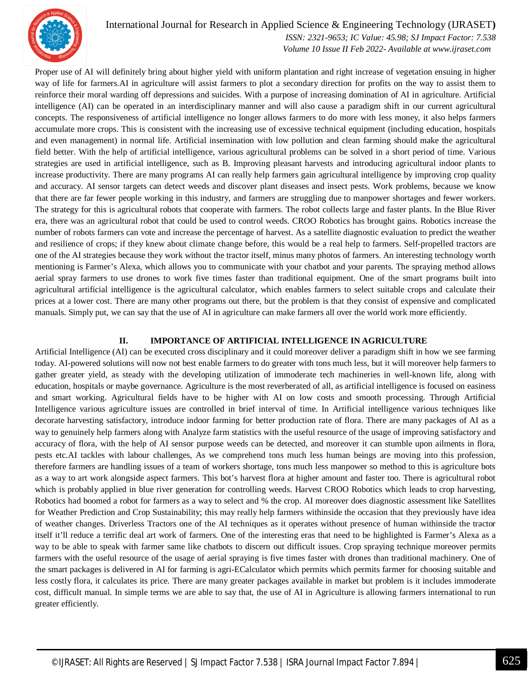

#### International Journal for Research in Applied Science & Engineering Technology (IJRASET**)**

 *ISSN: 2321-9653; IC Value: 45.98; SJ Impact Factor: 7.538 Volume 10 Issue II Feb 2022- Available at www.ijraset.com*

Proper use of AI will definitely bring about higher yield with uniform plantation and right increase of vegetation ensuing in higher way of life for farmers.AI in agriculture will assist farmers to plot a secondary direction for profits on the way to assist them to reinforce their moral warding off depressions and suicides. With a purpose of increasing domination of AI in agriculture. Artificial intelligence (AI) can be operated in an interdisciplinary manner and will also cause a paradigm shift in our current agricultural concepts. The responsiveness of artificial intelligence no longer allows farmers to do more with less money, it also helps farmers accumulate more crops. This is consistent with the increasing use of excessive technical equipment (including education, hospitals and even management) in normal life. Artificial insemination with low pollution and clean farming should make the agricultural field better. With the help of artificial intelligence, various agricultural problems can be solved in a short period of time. Various strategies are used in artificial intelligence, such as B. Improving pleasant harvests and introducing agricultural indoor plants to increase productivity. There are many programs AI can really help farmers gain agricultural intelligence by improving crop quality and accuracy. AI sensor targets can detect weeds and discover plant diseases and insect pests. Work problems, because we know that there are far fewer people working in this industry, and farmers are struggling due to manpower shortages and fewer workers. The strategy for this is agricultural robots that cooperate with farmers. The robot collects large and faster plants. In the Blue River era, there was an agricultural robot that could be used to control weeds. CROO Robotics has brought gains. Robotics increase the number of robots farmers can vote and increase the percentage of harvest. As a satellite diagnostic evaluation to predict the weather and resilience of crops; if they knew about climate change before, this would be a real help to farmers. Self-propelled tractors are one of the AI strategies because they work without the tractor itself, minus many photos of farmers. An interesting technology worth mentioning is Farmer's Alexa, which allows you to communicate with your chatbot and your parents. The spraying method allows aerial spray farmers to use drones to work five times faster than traditional equipment. One of the smart programs built into agricultural artificial intelligence is the agricultural calculator, which enables farmers to select suitable crops and calculate their prices at a lower cost. There are many other programs out there, but the problem is that they consist of expensive and complicated manuals. Simply put, we can say that the use of AI in agriculture can make farmers all over the world work more efficiently.

#### **II. IMPORTANCE OF ARTIFICIAL INTELLIGENCE IN AGRICULTURE**

Artificial Intelligence (AI) can be executed cross disciplinary and it could moreover deliver a paradigm shift in how we see farming today. AI-powered solutions will now not best enable farmers to do greater with tons much less, but it will moreover help farmers to gather greater yield, as steady with the developing utilization of immoderate tech machineries in well-known life, along with education, hospitals or maybe governance. Agriculture is the most reverberated of all, as artificial intelligence is focused on easiness and smart working. Agricultural fields have to be higher with AI on low costs and smooth processing. Through Artificial Intelligence various agriculture issues are controlled in brief interval of time. In Artificial intelligence various techniques like decorate harvesting satisfactory, introduce indoor farming for better production rate of flora. There are many packages of AI as a way to genuinely help farmers along with Analyze farm statistics with the useful resource of the usage of improving satisfactory and accuracy of flora, with the help of AI sensor purpose weeds can be detected, and moreover it can stumble upon ailments in flora, pests etc.AI tackles with labour challenges, As we comprehend tons much less human beings are moving into this profession, therefore farmers are handling issues of a team of workers shortage, tons much less manpower so method to this is agriculture bots as a way to art work alongside aspect farmers. This bot's harvest flora at higher amount and faster too. There is agricultural robot which is probably applied in blue river generation for controlling weeds. Harvest CROO Robotics which leads to crop harvesting, Robotics had boomed a robot for farmers as a way to select and % the crop. AI moreover does diagnostic assessment like Satellites for Weather Prediction and Crop Sustainability; this may really help farmers withinside the occasion that they previously have idea of weather changes. Driverless Tractors one of the AI techniques as it operates without presence of human withinside the tractor itself it'll reduce a terrific deal art work of farmers. One of the interesting eras that need to be highlighted is Farmer's Alexa as a way to be able to speak with farmer same like chatbots to discern out difficult issues. Crop spraying technique moreover permits farmers with the useful resource of the usage of aerial spraying is five times faster with drones than traditional machinery. One of the smart packages is delivered in AI for farming is agri-ECalculator which permits which permits farmer for choosing suitable and less costly flora, it calculates its price. There are many greater packages available in market but problem is it includes immoderate cost, difficult manual. In simple terms we are able to say that, the use of AI in Agriculture is allowing farmers international to run greater efficiently.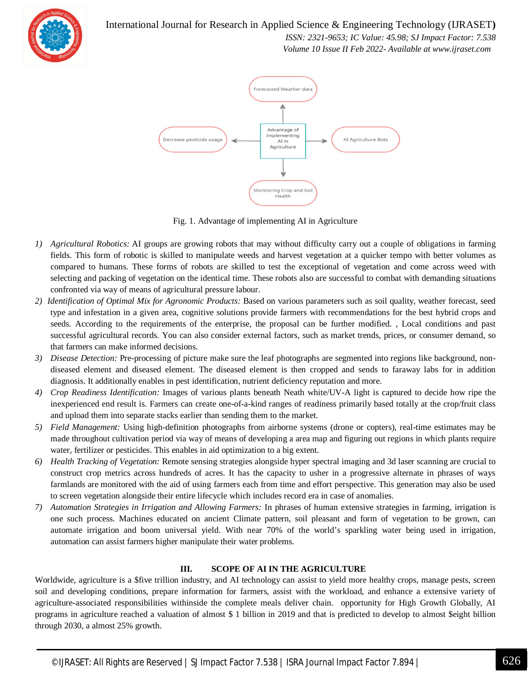

International Journal for Research in Applied Science & Engineering Technology (IJRASET**)**

 *ISSN: 2321-9653; IC Value: 45.98; SJ Impact Factor: 7.538 Volume 10 Issue II Feb 2022- Available at www.ijraset.com*



Fig. 1. Advantage of implementing AI in Agriculture

- *1) Agricultural Robotics:* AI groups are growing robots that may without difficulty carry out a couple of obligations in farming fields. This form of robotic is skilled to manipulate weeds and harvest vegetation at a quicker tempo with better volumes as compared to humans. These forms of robots are skilled to test the exceptional of vegetation and come across weed with selecting and packing of vegetation on the identical time. These robots also are successful to combat with demanding situations confronted via way of means of agricultural pressure labour.
- *2) Identification of Optimal Mix for Agronomic Products:* Based on various parameters such as soil quality, weather forecast, seed type and infestation in a given area, cognitive solutions provide farmers with recommendations for the best hybrid crops and seeds. According to the requirements of the enterprise, the proposal can be further modified. , Local conditions and past successful agricultural records. You can also consider external factors, such as market trends, prices, or consumer demand, so that farmers can make informed decisions.
- *3) Disease Detection:* Pre-processing of picture make sure the leaf photographs are segmented into regions like background, nondiseased element and diseased element. The diseased element is then cropped and sends to faraway labs for in addition diagnosis. It additionally enables in pest identification, nutrient deficiency reputation and more.
- *4) Crop Readiness Identification:* Images of various plants beneath Neath white/UV-A light is captured to decide how ripe the inexperienced end result is. Farmers can create one-of-a-kind ranges of readiness primarily based totally at the crop/fruit class and upload them into separate stacks earlier than sending them to the market.
- *5) Field Management:* Using high-definition photographs from airborne systems (drone or copters), real-time estimates may be made throughout cultivation period via way of means of developing a area map and figuring out regions in which plants require water, fertilizer or pesticides. This enables in aid optimization to a big extent.
- *6) Health Tracking of Vegetation:* Remote sensing strategies alongside hyper spectral imaging and 3d laser scanning are crucial to construct crop metrics across hundreds of acres. It has the capacity to usher in a progressive alternate in phrases of ways farmlands are monitored with the aid of using farmers each from time and effort perspective. This generation may also be used to screen vegetation alongside their entire lifecycle which includes record era in case of anomalies.
- *7) Automation Strategies in Irrigation and Allowing Farmers:* In phrases of human extensive strategies in farming, irrigation is one such process. Machines educated on ancient Climate pattern, soil pleasant and form of vegetation to be grown, can automate irrigation and boom universal yield. With near 70% of the world's sparkling water being used in irrigation, automation can assist farmers higher manipulate their water problems.

#### **III. SCOPE OF AI IN THE AGRICULTURE**

Worldwide, agriculture is a \$five trillion industry, and AI technology can assist to yield more healthy crops, manage pests, screen soil and developing conditions, prepare information for farmers, assist with the workload, and enhance a extensive variety of agriculture-associated responsibilities withinside the complete meals deliver chain. opportunity for High Growth Globally, AI programs in agriculture reached a valuation of almost \$ 1 billion in 2019 and that is predicted to develop to almost \$eight billion through 2030, a almost 25% growth.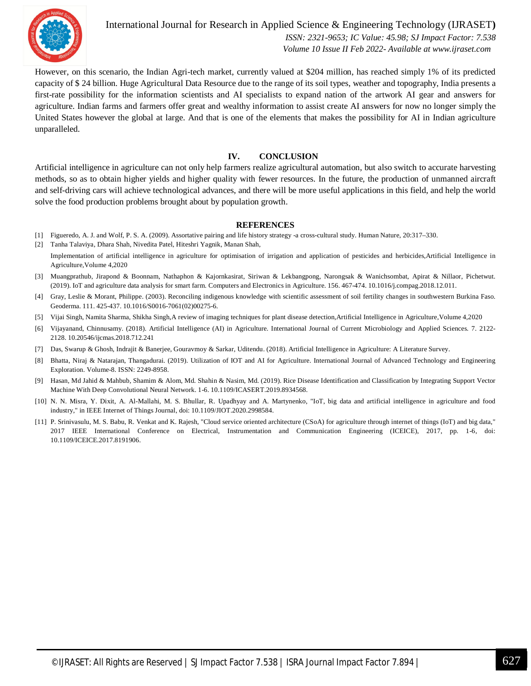

International Journal for Research in Applied Science & Engineering Technology (IJRASET**)**  *ISSN: 2321-9653; IC Value: 45.98; SJ Impact Factor: 7.538 Volume 10 Issue II Feb 2022- Available at www.ijraset.com*

However, on this scenario, the Indian Agri-tech market, currently valued at \$204 million, has reached simply 1% of its predicted capacity of \$ 24 billion. Huge Agricultural Data Resource due to the range of its soil types, weather and topography, India presents a first-rate possibility for the information scientists and AI specialists to expand nation of the artwork AI gear and answers for agriculture. Indian farms and farmers offer great and wealthy information to assist create AI answers for now no longer simply the United States however the global at large. And that is one of the elements that makes the possibility for AI in Indian agriculture unparalleled.

#### **IV. CONCLUSION**

Artificial intelligence in agriculture can not only help farmers realize agricultural automation, but also switch to accurate harvesting methods, so as to obtain higher yields and higher quality with fewer resources. In the future, the production of unmanned aircraft and self-driving cars will achieve technological advances, and there will be more useful applications in this field, and help the world solve the food production problems brought about by population growth.

#### **REFERENCES**

- [1] Figueredo, A. J. and Wolf, P. S. A. (2009). Assortative pairing and life history strategy -a cross-cultural study. Human Nature, 20:317–330.
- [2] Tanha Talaviya, Dhara Shah, Nivedita Patel, Hiteshri Yagnik, Manan Shah, Implementation of artificial intelligence in agriculture for optimisation of irrigation and application of pesticides and herbicides,Artificial Intelligence in Agriculture,Volume 4,2020
- [3] Muangprathub, Jirapond & Boonnam, Nathaphon & Kajornkasirat, Siriwan & Lekbangpong, Narongsak & Wanichsombat, Apirat & Nillaor, Pichetwut. (2019). IoT and agriculture data analysis for smart farm. Computers and Electronics in Agriculture. 156. 467-474. 10.1016/j.compag.2018.12.011.
- [4] Gray, Leslie & Morant, Philippe. (2003). Reconciling indigenous knowledge with scientific assessment of soil fertility changes in southwestern Burkina Faso. Geoderma. 111. 425-437. 10.1016/S0016-7061(02)00275-6.
- [5] Vijai Singh, Namita Sharma, Shikha Singh,A review of imaging techniques for plant disease detection,Artificial Intelligence in Agriculture,Volume 4,2020
- [6] Vijayanand, Chinnusamy. (2018). Artificial Intelligence (AI) in Agriculture. International Journal of Current Microbiology and Applied Sciences. 7. 2122- 2128. 10.20546/ijcmas.2018.712.241
- [7] Das, Swarup & Ghosh, Indrajit & Banerjee, Gouravmoy & Sarkar, Uditendu. (2018). Artificial Intelligence in Agriculture: A Literature Survey.
- [8] Bhatta, Niraj & Natarajan, Thangadurai. (2019). Utilization of IOT and AI for Agriculture. International Journal of Advanced Technology and Engineering Exploration. Volume-8. ISSN: 2249-8958.
- [9] Hasan, Md Jahid & Mahbub, Shamim & Alom, Md. Shahin & Nasim, Md. (2019). Rice Disease Identification and Classification by Integrating Support Vector Machine With Deep Convolutional Neural Network. 1-6. 10.1109/ICASERT.2019.8934568.
- [10] N. N. Misra, Y. Dixit, A. Al-Mallahi, M. S. Bhullar, R. Upadhyay and A. Martynenko, "IoT, big data and artificial intelligence in agriculture and food industry," in IEEE Internet of Things Journal, doi: 10.1109/JIOT.2020.2998584.
- [11] P. Srinivasulu, M. S. Babu, R. Venkat and K. Rajesh, "Cloud service oriented architecture (CSoA) for agriculture through internet of things (IoT) and big data," 2017 IEEE International Conference on Electrical, Instrumentation and Communication Engineering (ICEICE), 2017, pp. 1-6, doi: 10.1109/ICEICE.2017.8191906.